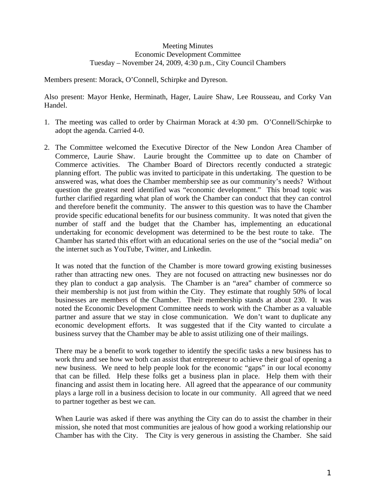## Meeting Minutes Economic Development Committee Tuesday – November 24, 2009, 4:30 p.m., City Council Chambers

Members present: Morack, O'Connell, Schirpke and Dyreson.

Also present: Mayor Henke, Herminath, Hager, Lauire Shaw, Lee Rousseau, and Corky Van Handel.

- 1. The meeting was called to order by Chairman Morack at 4:30 pm. O'Connell/Schirpke to adopt the agenda. Carried 4-0.
- 2. The Committee welcomed the Executive Director of the New London Area Chamber of Commerce, Laurie Shaw. Laurie brought the Committee up to date on Chamber of Commerce activities. The Chamber Board of Directors recently conducted a strategic planning effort. The public was invited to participate in this undertaking. The question to be answered was, what does the Chamber membership see as our community's needs? Without question the greatest need identified was "economic development." This broad topic was further clarified regarding what plan of work the Chamber can conduct that they can control and therefore benefit the community. The answer to this question was to have the Chamber provide specific educational benefits for our business community. It was noted that given the number of staff and the budget that the Chamber has, implementing an educational undertaking for economic development was determined to be the best route to take. The Chamber has started this effort with an educational series on the use of the "social media" on the internet such as YouTube, Twitter, and Linkedin.

It was noted that the function of the Chamber is more toward growing existing businesses rather than attracting new ones. They are not focused on attracting new businesses nor do they plan to conduct a gap analysis. The Chamber is an "area" chamber of commerce so their membership is not just from within the City. They estimate that roughly 50% of local businesses are members of the Chamber. Their membership stands at about 230. It was noted the Economic Development Committee needs to work with the Chamber as a valuable partner and assure that we stay in close communication. We don't want to duplicate any economic development efforts. It was suggested that if the City wanted to circulate a business survey that the Chamber may be able to assist utilizing one of their mailings.

There may be a benefit to work together to identify the specific tasks a new business has to work thru and see how we both can assist that entrepreneur to achieve their goal of opening a new business. We need to help people look for the economic "gaps" in our local economy that can be filled. Help these folks get a business plan in place. Help them with their financing and assist them in locating here. All agreed that the appearance of our community plays a large roll in a business decision to locate in our community. All agreed that we need to partner together as best we can.

When Laurie was asked if there was anything the City can do to assist the chamber in their mission, she noted that most communities are jealous of how good a working relationship our Chamber has with the City. The City is very generous in assisting the Chamber. She said